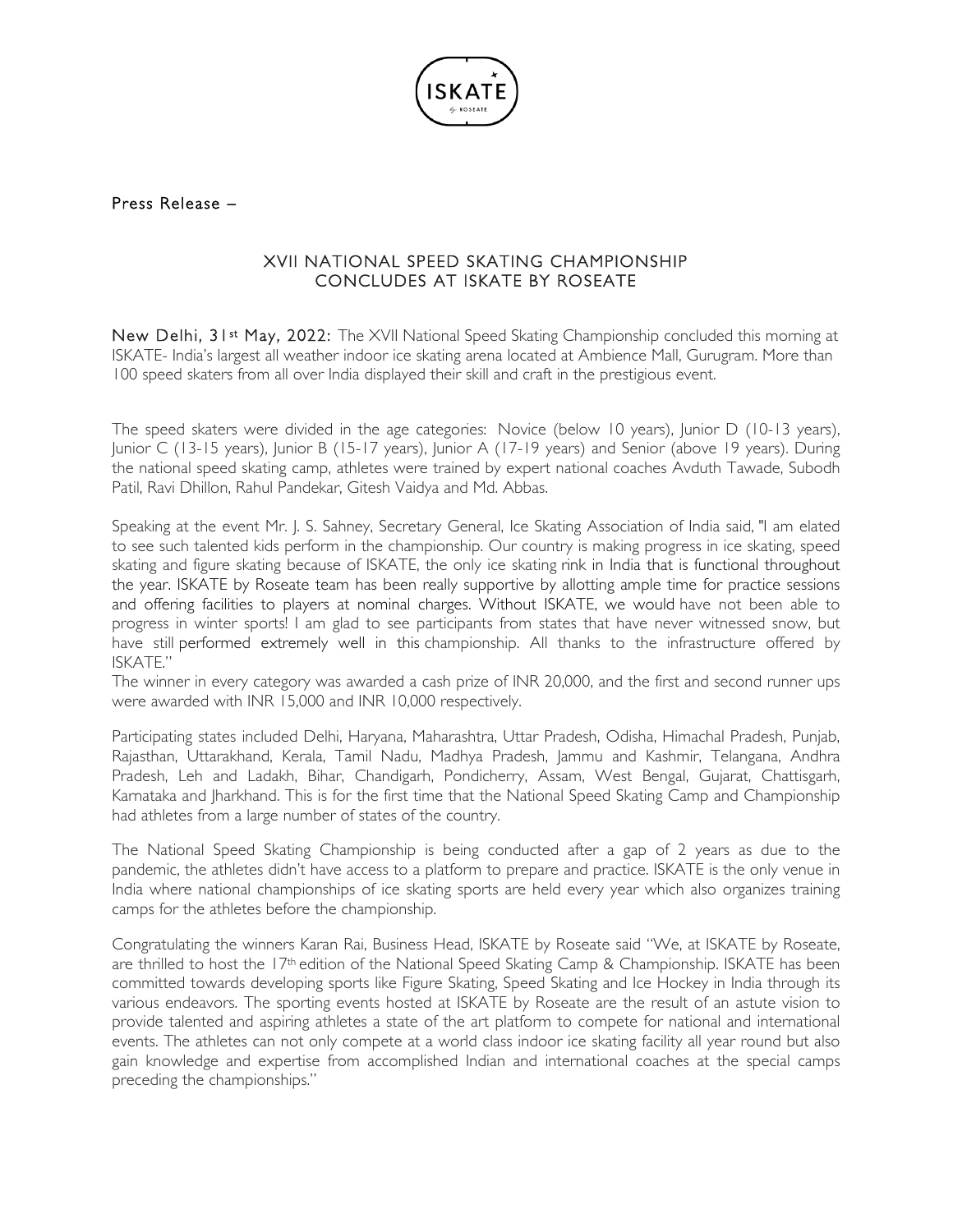

## Press Release –

## XVII NATIONAL SPEED SKATING CHAMPIONSHIP CONCLUDES AT ISKATE BY ROSEATE

New Delhi, 31<sup>st</sup> May, 2022: The XVII National Speed Skating Championship concluded this morning at ISKATE- India's largest all weather indoor ice skating arena located at Ambience Mall, Gurugram. More than 100 speed skaters from all over India displayed their skill and craft in the prestigious event.

The speed skaters were divided in the age categories: Novice (below 10 years), Junior D (10-13 years), Junior C (13-15 years), Junior B (15-17 years), Junior A (17-19 years) and Senior (above 19 years). During the national speed skating camp, athletes were trained by expert national coaches Avduth Tawade, Subodh Patil, Ravi Dhillon, Rahul Pandekar, Gitesh Vaidya and Md. Abbas.

Speaking at the event Mr. J. S. Sahney, Secretary General, Ice Skating Association of India said, "I am elated to see such talented kids perform in the championship. Our country is making progress in ice skating, speed skating and figure skating because of ISKATE, the only ice skating rink in India that is functional throughout the year. ISKATE by Roseate team has been really supportive by allotting ample time for practice sessions and offering facilities to players at nominal charges. Without ISKATE, we would have not been able to progress in winter sports! I am glad to see participants from states that have never witnessed snow, but have still performed extremely well in this championship. All thanks to the infrastructure offered by ISKATE."

The winner in every category was awarded a cash prize of INR 20,000, and the first and second runner ups were awarded with INR 15,000 and INR 10,000 respectively.

Participating states included Delhi, Haryana, Maharashtra, Uttar Pradesh, Odisha, Himachal Pradesh, Punjab, Rajasthan, Uttarakhand, Kerala, Tamil Nadu, Madhya Pradesh, Jammu and Kashmir, Telangana, Andhra Pradesh, Leh and Ladakh, Bihar, Chandigarh, Pondicherry, Assam, West Bengal, Gujarat, Chattisgarh, Karnataka and Jharkhand. This is for the first time that the National Speed Skating Camp and Championship had athletes from a large number of states of the country.

The National Speed Skating Championship is being conducted after a gap of 2 years as due to the pandemic, the athletes didn't have access to a platform to prepare and practice. ISKATE is the only venue in India where national championships of ice skating sports are held every year which also organizes training camps for the athletes before the championship.

Congratulating the winners Karan Rai, Business Head, ISKATE by Roseate said "We, at ISKATE by Roseate, are thrilled to host the 17th edition of the National Speed Skating Camp & Championship. ISKATE has been committed towards developing sports like Figure Skating, Speed Skating and Ice Hockey in India through its various endeavors. The sporting events hosted at ISKATE by Roseate are the result of an astute vision to provide talented and aspiring athletes a state of the art platform to compete for national and international events. The athletes can not only compete at a world class indoor ice skating facility all year round but also gain knowledge and expertise from accomplished Indian and international coaches at the special camps preceding the championships."